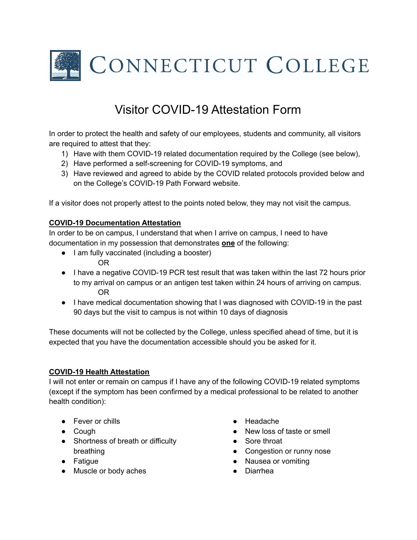

## Visitor COVID-19 Attestation Form

In order to protect the health and safety of our employees, students and community, all visitors are required to attest that they:

- 1) Have with them COVID-19 related documentation required by the College (see below),
- 2) Have performed a self-screening for COVID-19 symptoms, and
- 3) Have reviewed and agreed to abide by the COVID related protocols provided below and on the College's COVID-19 Path Forward website.

If a visitor does not properly attest to the points noted below, they may not visit the campus.

## **COVID-19 Documentation Attestation**

In order to be on campus, I understand that when I arrive on campus, I need to have documentation in my possession that demonstrates **one** of the following:

- I am fully vaccinated (including a booster) OR
- I have a negative COVID-19 PCR test result that was taken within the last 72 hours prior to my arrival on campus or an antigen test taken within 24 hours of arriving on campus. OR
- I have medical documentation showing that I was diagnosed with COVID-19 in the past 90 days but the visit to campus is not within 10 days of diagnosis

These documents will not be collected by the College, unless specified ahead of time, but it is expected that you have the documentation accessible should you be asked for it.

## **COVID-19 Health Attestation**

I will not enter or remain on campus if I have any of the following COVID-19 related symptoms (except if the symptom has been confirmed by a medical professional to be related to another health condition):

- Fever or chills
- Cough
- Shortness of breath or difficulty breathing
- Fatigue
- Muscle or body aches
- Headache
- New loss of taste or smell
- Sore throat
- Congestion or runny nose
- Nausea or vomiting
- Diarrhea